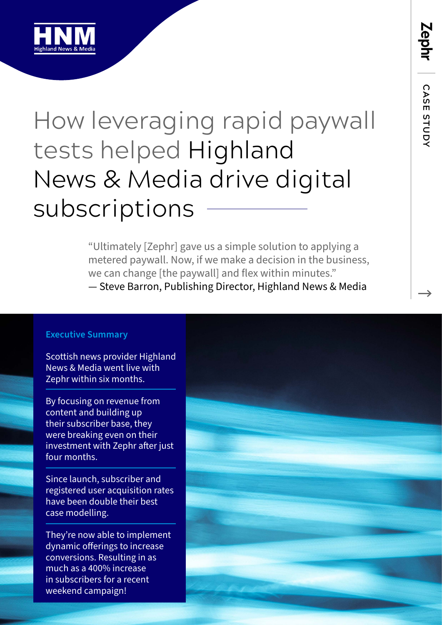

### How leveraging rapid paywall tests helped Highland News & Media drive digital subscriptions

"Ultimately [Zephr] gave us a simple solution to applying a metered paywall. Now, if we make a decision in the business, we can change [the paywall] and flex within minutes." — Steve Barron, Publishing Director, Highland News & Media

#### **Executive Summary**

Scottish news provider Highland News & Media went live with Zephr within six months.

By focusing on revenue from content and building up their subscriber base, they were breaking even on their investment with Zephr after just four months.

Since launch, subscriber and registered user acquisition rates have been double their best case modelling.

They're now able to implement dynamic offerings to increase conversions. Resulting in as much as a 400% increase in subscribers for a recent weekend campaign!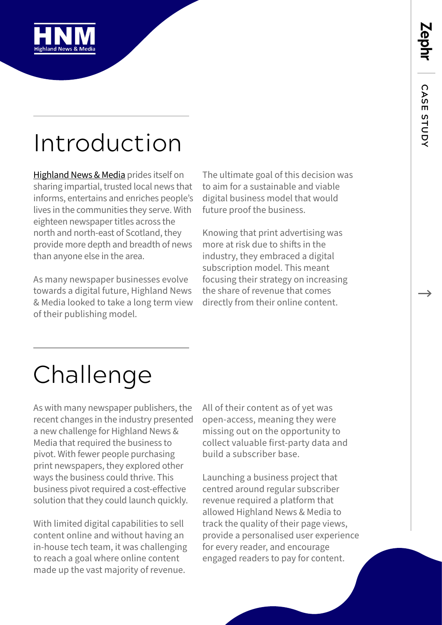

## Introduction

[Highland News & Media](https://www.hnmedia.co.uk/) prides itself on sharing impartial, trusted local news that informs, entertains and enriches people's lives in the communities they serve. With eighteen newspaper titles across the north and north-east of Scotland, they provide more depth and breadth of news than anyone else in the area.

As many newspaper businesses evolve towards a digital future, Highland News & Media looked to take a long term view of their publishing model.

The ultimate goal of this decision was to aim for a sustainable and viable digital business model that would future proof the business.

Knowing that print advertising was more at risk due to shifts in the industry, they embraced a digital subscription model. This meant focusing their strategy on increasing the share of revenue that comes directly from their online content.

# Challenge

As with many newspaper publishers, the recent changes in the industry presented a new challenge for Highland News & Media that required the business to pivot. With fewer people purchasing print newspapers, they explored other ways the business could thrive. This business pivot required a cost-effective solution that they could launch quickly.

With limited digital capabilities to sell content online and without having an in-house tech team, it was challenging to reach a goal where online content made up the vast majority of revenue.

All of their content as of yet was open-access, meaning they were missing out on the opportunity to collect valuable first-party data and build a subscriber base.

Launching a business project that centred around regular subscriber revenue required a platform that allowed Highland News & Media to track the quality of their page views, provide a personalised user experience for every reader, and encourage engaged readers to pay for content.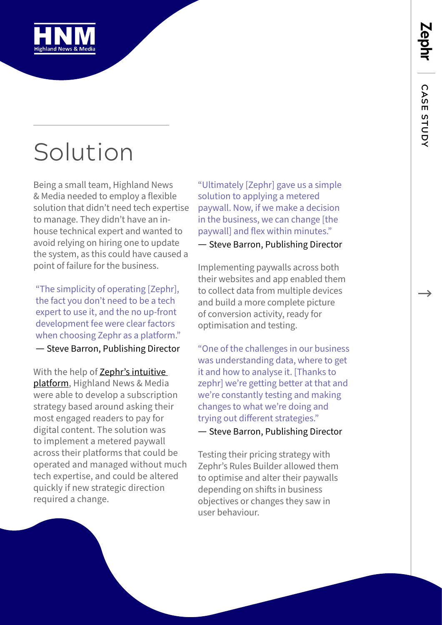

# Solution

Being a small team, Highland News & Media needed to employ a flexible solution that didn't need tech expertise to manage. They didn't have an inhouse technical expert and wanted to avoid relying on hiring one to update the system, as this could have caused a point of failure for the business.

"The simplicity of operating [Zephr], the fact you don't need to be a tech expert to use it, and the no up-front development fee were clear factors when choosing Zephr as a platform." — Steve Barron, Publishing Director

With the help of [Zephr's intuitive](https://www.zephr.com/subscription-experience-platform)  [platform,](https://www.zephr.com/subscription-experience-platform) Highland News & Media were able to develop a subscription strategy based around asking their most engaged readers to pay for digital content. The solution was to implement a metered paywall across their platforms that could be operated and managed without much tech expertise, and could be altered quickly if new strategic direction required a change.

"Ultimately [Zephr] gave us a simple solution to applying a metered paywall. Now, if we make a decision in the business, we can change [the paywall] and flex within minutes."

— Steve Barron, Publishing Director

Implementing paywalls across both their websites and app enabled them to collect data from multiple devices and build a more complete picture of conversion activity, ready for optimisation and testing.

"One of the challenges in our business was understanding data, where to get it and how to analyse it. [Thanks to zephr] we're getting better at that and we're constantly testing and making changes to what we're doing and trying out different strategies."

— Steve Barron, Publishing Director

Testing their pricing strategy with Zephr's Rules Builder allowed them to optimise and alter their paywalls depending on shifts in business objectives or changes they saw in user behaviour.